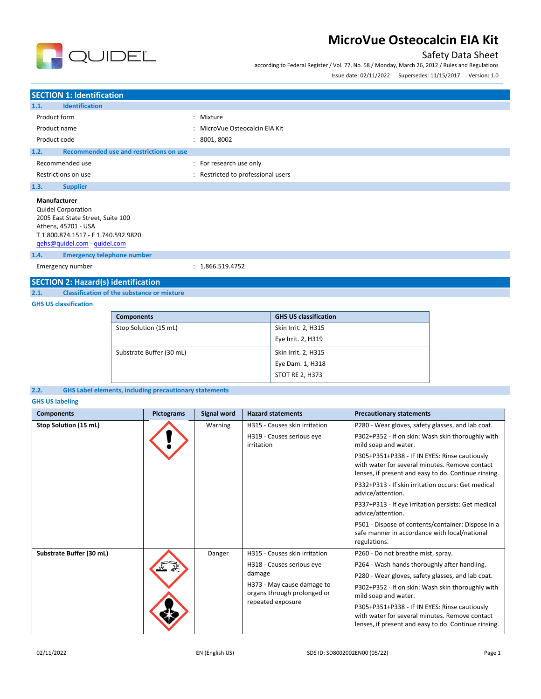

### Safety Data Sheet

according to Federal Register / Vol. 77, No. 58 / Monday, March 26, 2012 / Rules and Regulations Issue date: 02/11/2022 Supersedes: 11/15/2017 Version: 1.0

|              |                                  |                                | . |
|--------------|----------------------------------|--------------------------------|---|
|              |                                  |                                |   |
|              | <b>SECTION 1: Identification</b> |                                |   |
| 1.1.         | <b>Identification</b>            |                                |   |
|              | Product form                     | : Mixture                      |   |
|              | Product name                     | : MicroVue Osteocalcin EIA Kit |   |
| Product code |                                  | 8001, 8002                     |   |

#### **1.2. Recommended use and restrictions on use**

Recommended use  $\blacksquare$ : For research use only Restrictions on use **interest in the COV** and Restricted to professional users

**1.3. Supplier**

### **Manufacturer**

Quidel Corporation 2005 East State Street, Suite 100 Athens, 45701 - USA T 1.800.874.1517 - F 1.740.592.9820 [qehs@quidel.com](mailto:qehs@quidel.com) - [quidel.com](http://quidel.com/)

**1.4. Emergency telephone number**

Emergency number : 1.866.519.4752

### **SECTION 2: Hazard(s) identification**

**2.1. Classification of the substance or mixture**

### **GHS US classification**

| <b>Components</b>        | <b>GHS US classification</b> |
|--------------------------|------------------------------|
| Stop Solution (15 mL)    | Skin Irrit. 2, H315          |
|                          | Eye Irrit. 2, H319           |
| Substrate Buffer (30 mL) | Skin Irrit. 2, H315          |
|                          | Eye Dam. 1, H318             |
|                          | <b>STOT RE 2, H373</b>       |

### **2.2. GHS Label elements, including precautionary statements**

**GHS US labeling**

| <b>Components</b>        | <b>Pictograms</b> | Signal word | <b>Hazard statements</b>                                                                                                                               | <b>Precautionary statements</b>                                                                                                                                                                                                                                                                                                                                                                                                                                                                                                                                         |
|--------------------------|-------------------|-------------|--------------------------------------------------------------------------------------------------------------------------------------------------------|-------------------------------------------------------------------------------------------------------------------------------------------------------------------------------------------------------------------------------------------------------------------------------------------------------------------------------------------------------------------------------------------------------------------------------------------------------------------------------------------------------------------------------------------------------------------------|
| Stop Solution (15 mL)    |                   | Warning     | H315 - Causes skin irritation<br>H319 - Causes serious eye<br>irritation                                                                               | P280 - Wear gloves, safety glasses, and lab coat.<br>P302+P352 - If on skin: Wash skin thoroughly with<br>mild soap and water.<br>P305+P351+P338 - IF IN EYES: Rinse cautiously<br>with water for several minutes. Remove contact<br>lenses, if present and easy to do. Continue rinsing.<br>P332+P313 - If skin irritation occurs: Get medical<br>advice/attention.<br>P337+P313 - If eye irritation persists: Get medical<br>advice/attention.<br>P501 - Dispose of contents/container: Dispose in a<br>safe manner in accordance with local/national<br>regulations. |
| Substrate Buffer (30 mL) |                   | Danger      | H315 - Causes skin irritation<br>H318 - Causes serious eye<br>damage<br>H373 - May cause damage to<br>organs through prolonged or<br>repeated exposure | P260 - Do not breathe mist, spray.<br>P264 - Wash hands thoroughly after handling.<br>P280 - Wear gloves, safety glasses, and lab coat.<br>P302+P352 - If on skin: Wash skin thoroughly with<br>mild soap and water.<br>P305+P351+P338 - IF IN EYES: Rinse cautiously<br>with water for several minutes. Remove contact<br>lenses, if present and easy to do. Continue rinsing.                                                                                                                                                                                         |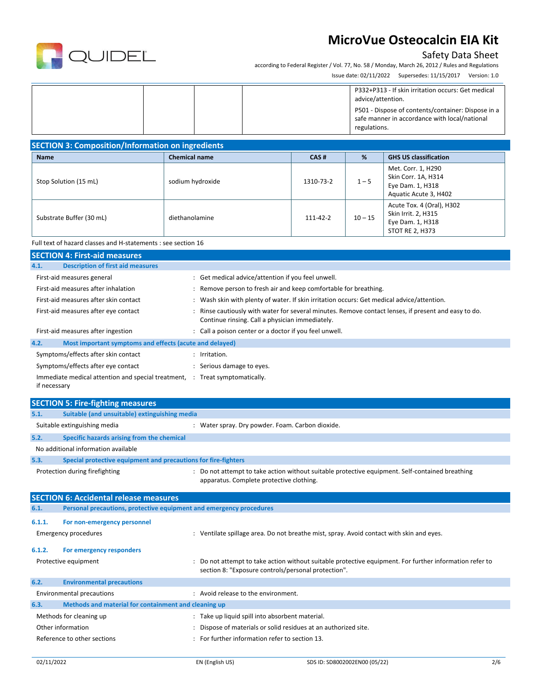

### Safety Data Sheet

according to Federal Register / Vol. 77, No. 58 / Monday, March 26, 2012 / Rules and Regulations Issue date: 02/11/2022 Supersedes: 11/15/2017 Version: 1.0

|  |  | P332+P313 - If skin irritation occurs: Get medical<br>advice/attention.<br>P501 - Dispose of contents/container: Dispose in a<br>safe manner in accordance with local/national<br>regulations. |
|--|--|------------------------------------------------------------------------------------------------------------------------------------------------------------------------------------------------|
|  |  |                                                                                                                                                                                                |

| <b>SECTION 3: Composition/Information on ingredients</b> |                      |           |           |                                                                                                |  |  |  |
|----------------------------------------------------------|----------------------|-----------|-----------|------------------------------------------------------------------------------------------------|--|--|--|
| <b>Name</b>                                              | <b>Chemical name</b> | CAS#      | %         | <b>GHS US classification</b>                                                                   |  |  |  |
| Stop Solution (15 mL)                                    | sodium hydroxide     | 1310-73-2 | $1 - 5$   | Met. Corr. 1, H290<br>Skin Corr. 1A, H314<br>Eye Dam. 1, H318<br>Aquatic Acute 3, H402         |  |  |  |
| Substrate Buffer (30 mL)                                 | diethanolamine       | 111-42-2  | $10 - 15$ | Acute Tox. 4 (Oral), H302<br>Skin Irrit. 2, H315<br>Eye Dam. 1, H318<br><b>STOT RE 2, H373</b> |  |  |  |

Full text of hazard classes and H-statements : see section 16

| <b>SECTION 4: First-aid measures</b>                                 |                                                                                                                                                       |  |  |  |  |
|----------------------------------------------------------------------|-------------------------------------------------------------------------------------------------------------------------------------------------------|--|--|--|--|
| <b>Description of first aid measures</b><br>4.1.                     |                                                                                                                                                       |  |  |  |  |
| First-aid measures general                                           | : Get medical advice/attention if you feel unwell.                                                                                                    |  |  |  |  |
| First-aid measures after inhalation                                  | Remove person to fresh air and keep comfortable for breathing.                                                                                        |  |  |  |  |
| First-aid measures after skin contact                                | Wash skin with plenty of water. If skin irritation occurs: Get medical advice/attention.                                                              |  |  |  |  |
| First-aid measures after eye contact                                 | Rinse cautiously with water for several minutes. Remove contact lenses, if present and easy to do.<br>Continue rinsing. Call a physician immediately. |  |  |  |  |
| First-aid measures after ingestion                                   | : Call a poison center or a doctor if you feel unwell.                                                                                                |  |  |  |  |
| 4.2.<br>Most important symptoms and effects (acute and delayed)      |                                                                                                                                                       |  |  |  |  |
| Symptoms/effects after skin contact                                  | Irritation.                                                                                                                                           |  |  |  |  |
| Symptoms/effects after eye contact                                   | Serious damage to eyes.                                                                                                                               |  |  |  |  |
| Immediate medical attention and special treatment, :<br>if necessary | Treat symptomatically.                                                                                                                                |  |  |  |  |

|                              | <b>SECTION 5: Fire-fighting measures</b>                            |  |                                                                                                                                                              |  |  |
|------------------------------|---------------------------------------------------------------------|--|--------------------------------------------------------------------------------------------------------------------------------------------------------------|--|--|
| 5.1.                         | Suitable (and unsuitable) extinguishing media                       |  |                                                                                                                                                              |  |  |
| Suitable extinguishing media |                                                                     |  | : Water spray. Dry powder. Foam. Carbon dioxide.                                                                                                             |  |  |
| 5.2.                         | Specific hazards arising from the chemical                          |  |                                                                                                                                                              |  |  |
|                              | No additional information available                                 |  |                                                                                                                                                              |  |  |
| 5.3.                         | Special protective equipment and precautions for fire-fighters      |  |                                                                                                                                                              |  |  |
|                              | Protection during firefighting                                      |  | : Do not attempt to take action without suitable protective equipment. Self-contained breathing<br>apparatus. Complete protective clothing.                  |  |  |
|                              | <b>SECTION 6: Accidental release measures</b>                       |  |                                                                                                                                                              |  |  |
| 6.1.                         | Personal precautions, protective equipment and emergency procedures |  |                                                                                                                                                              |  |  |
| 6.1.1.                       | For non-emergency personnel                                         |  |                                                                                                                                                              |  |  |
| <b>Emergency procedures</b>  |                                                                     |  | Ventilate spillage area. Do not breathe mist, spray. Avoid contact with skin and eyes.                                                                       |  |  |
| 6.1.2.                       | For emergency responders                                            |  |                                                                                                                                                              |  |  |
|                              | Protective equipment                                                |  | Do not attempt to take action without suitable protective equipment. For further information refer to<br>section 8: "Exposure controls/personal protection". |  |  |
| 6.2.                         | <b>Environmental precautions</b>                                    |  |                                                                                                                                                              |  |  |
|                              | <b>Environmental precautions</b>                                    |  | : Avoid release to the environment.                                                                                                                          |  |  |
| 6.3.                         | Methods and material for containment and cleaning up                |  |                                                                                                                                                              |  |  |
| Methods for cleaning up      |                                                                     |  | : Take up liquid spill into absorbent material.                                                                                                              |  |  |
| Other information            |                                                                     |  | Dispose of materials or solid residues at an authorized site.                                                                                                |  |  |
| Reference to other sections  |                                                                     |  | For further information refer to section 13.                                                                                                                 |  |  |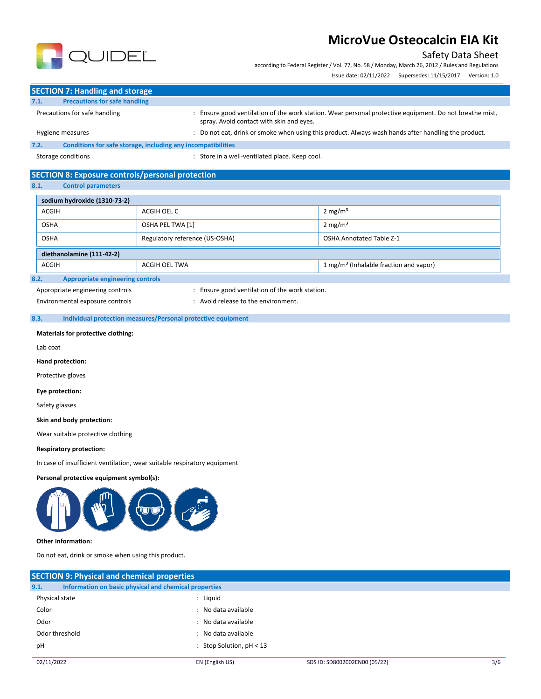### Safety Data Sheet

according to Federal Register / Vol. 77, No. 58 / Monday, March 26, 2012 / Rules and Regulations

Issue date: 02/11/2022 Supersedes: 11/15/2017 Version: 1.0



**SECTION 7: Handling and storage 7.1. Precautions for safe handling**

Precautions for safe handling entity and the station of the work station. Wear personal protective equipment. Do not breathe mist, spray. Avoid contact with skin and eyes.

Hygiene measures : Do not eat, drink or smoke when using this product. Always wash hands after handling the product.

**7.2. Conditions for safe storage, including any incompatibilities**

Storage conditions **Storage conditions** : Store in a well-ventilated place. Keep cool.

### **SECTION 8: Exposure controls/personal protection**

**8.1. Control parameters**

| sodium hydroxide (1310-73-2)                                                        |                                |                                 |  |  |  |
|-------------------------------------------------------------------------------------|--------------------------------|---------------------------------|--|--|--|
| <b>ACGIH</b>                                                                        | ACGIH OEL C                    | 2 mg/m <sup>3</sup>             |  |  |  |
| <b>OSHA</b>                                                                         | OSHA PEL TWA [1]               | $2 \text{ mg/m}^3$              |  |  |  |
| <b>OSHA</b>                                                                         | Regulatory reference (US-OSHA) | <b>OSHA Annotated Table Z-1</b> |  |  |  |
| diethanolamine (111-42-2)                                                           |                                |                                 |  |  |  |
| 1 mg/m <sup>3</sup> (Inhalable fraction and vapor)<br><b>ACGIH</b><br>ACGIH OEL TWA |                                |                                 |  |  |  |
| 8.2.<br><b>Appropriate engineering controls</b>                                     |                                |                                 |  |  |  |

Appropriate engineering controls **interpretent controls** : Ensure good ventilation of the work station.

Environmental exposure controls entitled by the environment.

**8.3. Individual protection measures/Personal protective equipment**

### **Materials for protective clothing:**

Lab coat

**Hand protection:**

Protective gloves

**Eye protection:**

Safety glasses

**Skin and body protection:**

Wear suitable protective clothing

### **Respiratory protection:**

In case of insufficient ventilation, wear suitable respiratory equipment

### **Personal protective equipment symbol(s):**



### **Other information:**

Do not eat, drink or smoke when using this product.

|                | <b>SECTION 9: Physical and chemical properties</b>    |                               |     |  |  |
|----------------|-------------------------------------------------------|-------------------------------|-----|--|--|
| 9.1.           | Information on basic physical and chemical properties |                               |     |  |  |
| Physical state | : Liguid                                              |                               |     |  |  |
| Color          | : No data available                                   |                               |     |  |  |
| Odor           | : No data available                                   |                               |     |  |  |
| Odor threshold | : No data available                                   |                               |     |  |  |
| рH             | : Stop Solution, $pH < 13$                            |                               |     |  |  |
| 02/11/2022     | EN (English US)                                       | SDS ID: SD8002002EN00 (05/22) | 3/6 |  |  |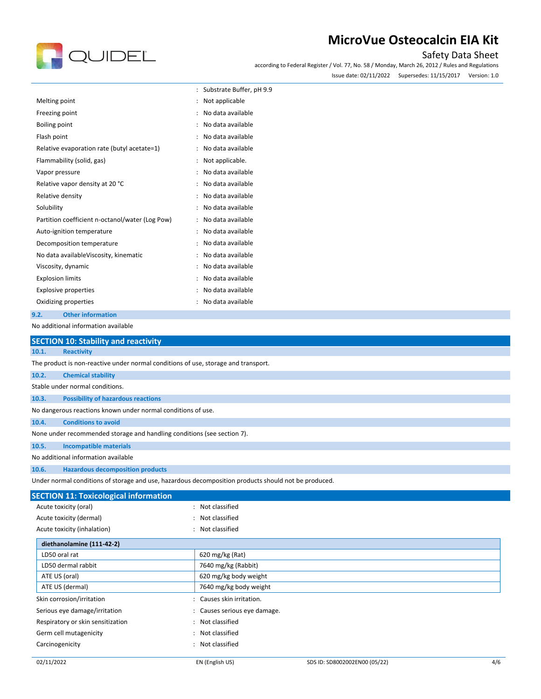# QUIDEL

# **MicroVue Osteocalcin EIA Kit**

### Safety Data Sheet

according to Federal Register / Vol. 77, No. 58 / Monday, March 26, 2012 / Rules and Regulations Issue date: 02/11/2022 Supersedes: 11/15/2017 Version: 1.0

|                                                 | Substrate Buffer, pH 9.9 |
|-------------------------------------------------|--------------------------|
| Melting point                                   | Not applicable           |
| Freezing point                                  | No data available        |
| Boiling point                                   | No data available        |
| Flash point                                     | No data available        |
| Relative evaporation rate (butyl acetate=1)     | No data available        |
| Flammability (solid, gas)                       | Not applicable.          |
| Vapor pressure                                  | No data available        |
| Relative vapor density at 20 °C                 | No data available        |
| Relative density                                | No data available        |
| Solubility                                      | No data available        |
| Partition coefficient n-octanol/water (Log Pow) | No data available        |
| Auto-ignition temperature                       | No data available        |
| Decomposition temperature                       | No data available        |
| No data availableViscosity, kinematic           | No data available        |
| Viscosity, dynamic                              | No data available        |
| <b>Explosion limits</b>                         | No data available        |
| <b>Explosive properties</b>                     | No data available        |
| Oxidizing properties                            | No data available        |
| 9.2.<br><b>Other information</b>                |                          |

No additional information available

|                                                                                                      | <b>SECTION 10: Stability and reactivity</b>                                        |  |  |  |  |
|------------------------------------------------------------------------------------------------------|------------------------------------------------------------------------------------|--|--|--|--|
| 10.1.                                                                                                | <b>Reactivity</b>                                                                  |  |  |  |  |
|                                                                                                      | The product is non-reactive under normal conditions of use, storage and transport. |  |  |  |  |
| 10.2.                                                                                                | <b>Chemical stability</b>                                                          |  |  |  |  |
|                                                                                                      | Stable under normal conditions.                                                    |  |  |  |  |
| 10.3.                                                                                                | <b>Possibility of hazardous reactions</b>                                          |  |  |  |  |
| No dangerous reactions known under normal conditions of use.                                         |                                                                                    |  |  |  |  |
| 10.4.                                                                                                | <b>Conditions to avoid</b>                                                         |  |  |  |  |
| None under recommended storage and handling conditions (see section 7).                              |                                                                                    |  |  |  |  |
| 10.5.                                                                                                | <b>Incompatible materials</b>                                                      |  |  |  |  |
| No additional information available                                                                  |                                                                                    |  |  |  |  |
| 10.6.                                                                                                | <b>Hazardous decomposition products</b>                                            |  |  |  |  |
| Under normal conditions of storage and use, hazardous decomposition products should not be produced. |                                                                                    |  |  |  |  |
| <b>SECTION 11: Toxicological information</b>                                                         |                                                                                    |  |  |  |  |

| Acute toxicity (oral)             | : Not classified             |
|-----------------------------------|------------------------------|
| Acute toxicity (dermal)           | : Not classified             |
| Acute toxicity (inhalation)       | : Not classified             |
| diethanolamine (111-42-2)         |                              |
| LD50 oral rat                     | 620 mg/kg (Rat)              |
| LD50 dermal rabbit                | 7640 mg/kg (Rabbit)          |
| ATE US (oral)                     | 620 mg/kg body weight        |
| ATE US (dermal)                   | 7640 mg/kg body weight       |
| Skin corrosion/irritation         | : Causes skin irritation.    |
| Serious eye damage/irritation     | : Causes serious eye damage. |
| Respiratory or skin sensitization | : Not classified             |
| Germ cell mutagenicity            | : Not classified             |
| Carcinogenicity                   | : Not classified             |
|                                   |                              |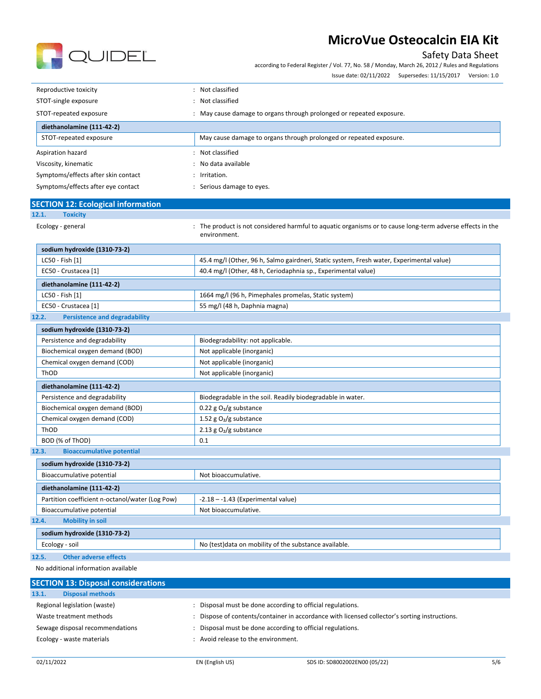

### Safety Data Sheet

according to Federal Register / Vol. 77, No. 58 / Monday, March 26, 2012 / Rules and Regulations

Issue date: 02/11/2022 Supersedes: 11/15/2017 Version: 1.0

| Reproductive toxicity               | Not classified                                                     |  |
|-------------------------------------|--------------------------------------------------------------------|--|
| STOT-single exposure                | Not classified                                                     |  |
| STOT-repeated exposure              | May cause damage to organs through prolonged or repeated exposure. |  |
| diethanolamine (111-42-2)           |                                                                    |  |
| STOT-repeated exposure              | May cause damage to organs through prolonged or repeated exposure. |  |
| Aspiration hazard                   | Not classified                                                     |  |
| Viscosity, kinematic                | No data available                                                  |  |
| Symptoms/effects after skin contact | $:$ Irritation.                                                    |  |
| Symptoms/effects after eye contact  | Serious damage to eyes.                                            |  |

| <b>SECTION 12: Ecological information</b>       |                                                                                                                           |
|-------------------------------------------------|---------------------------------------------------------------------------------------------------------------------------|
| 12.1.<br><b>Toxicity</b>                        |                                                                                                                           |
| Ecology - general                               | : The product is not considered harmful to aquatic organisms or to cause long-term adverse effects in the<br>environment. |
| sodium hydroxide (1310-73-2)                    |                                                                                                                           |
| LC50 - Fish [1]                                 | 45.4 mg/l (Other, 96 h, Salmo gairdneri, Static system, Fresh water, Experimental value)                                  |
| EC50 - Crustacea [1]                            | 40.4 mg/l (Other, 48 h, Ceriodaphnia sp., Experimental value)                                                             |
| diethanolamine (111-42-2)                       |                                                                                                                           |
| LC50 - Fish [1]                                 | 1664 mg/l (96 h, Pimephales promelas, Static system)                                                                      |
| EC50 - Crustacea [1]                            | 55 mg/l (48 h, Daphnia magna)                                                                                             |
| 12.2.<br><b>Persistence and degradability</b>   |                                                                                                                           |
| sodium hydroxide (1310-73-2)                    |                                                                                                                           |
| Persistence and degradability                   | Biodegradability: not applicable.                                                                                         |
| Biochemical oxygen demand (BOD)                 | Not applicable (inorganic)                                                                                                |
| Chemical oxygen demand (COD)                    | Not applicable (inorganic)                                                                                                |
| ThOD                                            | Not applicable (inorganic)                                                                                                |
| diethanolamine (111-42-2)                       |                                                                                                                           |
| Persistence and degradability                   | Biodegradable in the soil. Readily biodegradable in water.                                                                |
| Biochemical oxygen demand (BOD)                 | 0.22 g $O_2/g$ substance                                                                                                  |
| Chemical oxygen demand (COD)                    | 1.52 g $O_2/g$ substance                                                                                                  |
| ThOD                                            | 2.13 g $O_2/g$ substance                                                                                                  |
| BOD (% of ThOD)                                 | 0.1                                                                                                                       |
| 12.3.<br><b>Bioaccumulative potential</b>       |                                                                                                                           |
| sodium hydroxide (1310-73-2)                    |                                                                                                                           |
| Bioaccumulative potential                       | Not bioaccumulative.                                                                                                      |
| diethanolamine (111-42-2)                       |                                                                                                                           |
| Partition coefficient n-octanol/water (Log Pow) | $-2.18 - -1.43$ (Experimental value)                                                                                      |
| Bioaccumulative potential                       | Not bioaccumulative.                                                                                                      |
| <b>Mobility in soil</b><br>12.4.                |                                                                                                                           |
| sodium hydroxide (1310-73-2)                    |                                                                                                                           |
| Ecology - soil                                  | No (test)data on mobility of the substance available.                                                                     |
| <b>Other adverse effects</b><br>12.5.           |                                                                                                                           |
| No additional information available             |                                                                                                                           |
| CECEICAL 40- DESCRIPTION                        |                                                                                                                           |

| <b>SECTION 13: Disposal considerations</b> |                                                                                             |
|--------------------------------------------|---------------------------------------------------------------------------------------------|
| <b>Disposal methods</b><br>13.1.           |                                                                                             |
| Regional legislation (waste)               | Disposal must be done according to official regulations.                                    |
| Waste treatment methods                    | Dispose of contents/container in accordance with licensed collector's sorting instructions. |
| Sewage disposal recommendations            | Disposal must be done according to official regulations.                                    |
| Ecology - waste materials                  | : Avoid release to the environment.                                                         |
|                                            |                                                                                             |